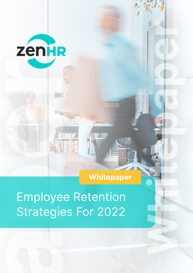

# Whitepaper

Employee Retention Strategies For 2022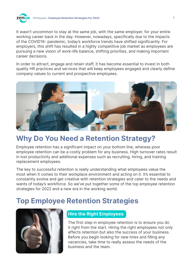

It wasn't uncommon to stay at the same job, with the same employer, for your entire working career back in the day. However, nowadays, specifically due to the impacts of the COVID19- pandemic, today's workforce trends have shifted significantly. For employers, this shift has resulted in a highly competitive job market as employees are pursuing a new vision of work-life balance, shifting priorities, and making important career decisions.

In order to attract, engage and retain staff, it has become essential to invest in both quality HR practices and services that will keep employees engaged and clearly define company values to current and prospective employees.



# Why Do You Need a Retention Strategy?

Employee retention has a significant impact on your bottom line, whereas poor employee retention can be a costly problem for any business. High turnover rates result in lost productivity and additional expenses such as recruiting, hiring, and training replacement employees.

The key to successful retention is really understanding what employees value the most when it comes to their workplace environment and acting on it. It's essential to constantly evolve and get creative with retention strategies and cater to the needs and wants of today's workforce. So we've put together some of the top employee retention strategies for 2022 and a new era in the working world.

# Top Employee Retention Strategies



### Hire the Right Employees

The first step in employee retention is to ensure you do it right from the start. Hiring the right employees not only affects retention but also the success of your business. Before you begin looking for new hires and filling any vacancies, take time to really assess the needs of the business and the team.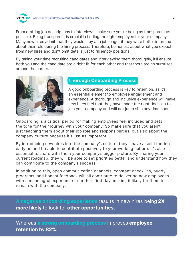

From drafting job descriptions to interviews, make sure you're being as transparent as possible. Being transparent is crucial in finding the right employee for your company. Many new hires admit that they would stay at a job longer if they were better informed about their role during the hiring process. Therefore, be honest about what you expect from new hires and don't omit details just to fill empty positions.

By taking your time recruiting candidates and interviewing them thoroughly, it'll ensure both you and the candidate are a right fit for each other and that there are no surprises around the corner.



### Thorough Onboarding Process

A good onboarding process is key to retention, as it's an essential element to employee engagement and experience. A thorough and inclusive experience will make new hires feel that they have made the right decision to join your company and will not jump ship any time soon.

Onboarding is a critical period for making employees feel included and sets the tone for their journey with your company. So make sure that you aren't just teaching them about their job role and responsibilities, but also about the company culture because it's just as important.

By introducing new hires into the company's culture, they'll have a solid footing early on and be able to contribute positively to your working culture. It's also essential to share with them your company's bigger picture. By sharing your current roadmap, they will be able to set priorities better and understand how they can contribute to the company's success.

In addition to this, open communication channels, constant check-ins, buddy programs, and honest feedback will all contribute to delivering new employees with a meaningful experience from their first day, making it likely for them to remain with the company.

A negative onboarding experience results in new hires being 2X more likely to look for other opportunities.

Whereas a strong onboarding process improves employee retention by 82%.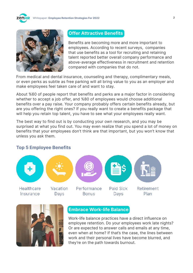



#### Offer Attractive Benefits

Benefits are becoming more and more important to employees. According to recent surveys, companies that use benefits as a tool for recruiting and retaining talent reported better overall company performance and above-average effectiveness in recruitment and retention compared with companies that do not.

From medical and dental insurance, counseling and therapy, complimentary meals, or even perks as subtle as free parking will all bring value to you as an employer and make employees feel taken care of and want to stay.

About %60 of people report that benefits and perks are a major factor in considering whether to accept a job offer, and %80 of employees would choose additional benefits over a pay raise. Your company probably offers certain benefits already, but are you offering the right ones? If you really want to create a benefits package that will help you retain top talent, you have to see what your employees really want.

The best way to find out is by conducting your own research, and you may be surprised at what you find out. You may even realize that you spend a lot of money on benefits that your employees don't think are that important, but you won't know that unless you ask them.

#### Top 5 Employee Benefits





#### Embrace Work-life Balance

Work-life balance practices have a direct influence on employee retention. Do your employees work late nights? Or are expected to answer calls and emails at any time, even when at home? If that's the case, the lines between work and their personal lives have become blurred, and they're on the path towards burnout.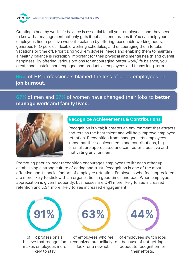Creating a healthy work-life balance is essential for all your employees, and they need to know that management not only gets it but also encourages it. You can help your employees find a positive work-life balance by offering reasonable working hours, generous PTO policies, flexible working schedules, and encouraging them to take vacations or time off. Prioritizing your employees' needs and enabling them to maintain a healthy balance is incredibly important for their physical and mental health and overall happiness. By offering various options for encouraging better work/life balance, you'll create and sustain more engaged and productive employees and teams long-term.

# 95% of HR professionals blamed the loss of good employees on job burnout.

67% of men and 57% of women have changed their jobs to better manage work and family lives.



### Recognize Achievements & Contributions

Recognition is vital; it creates an environment that attracts and retains the best talent and will help improve employee retention. Recognition from managers lets employees know that their achievements and contributions, big or small, are appreciated and can foster a positive and motivating environment.

Promoting peer-to-peer recognition encourages employees to lift each other up, establishing a strong culture of caring and trust. Recognition is one of the most effective non-financial factors of employee retention. Employees who feel appreciated are more likely to stick with an organization in good times and bad. When employee appreciation is given frequently, businesses are %41 more likely to see increased retention and %34 more likely to see increased engagement.



of HR professionals believe that recognition makes employees more likely to stay.

of employees who feel recognized are unlikely to look for a new job.

63%



of employees switch jobs because of not getting adequate recognition for their efforts.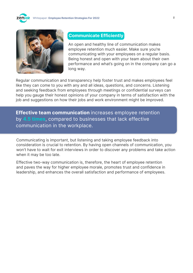



### Communicate Efficiently

An open and healthy line of communication makes employee retention much easier. Make sure you're communicating with your employees on a regular basis. Being honest and open with your team about their own performance and what's going on in the company can go a long way.

Regular communication and transparency help foster trust and makes employees feel like they can come to you with any and all ideas, questions, and concerns. Listening and seeking feedback from employees through meetings or confidential surveys can help you gauge their honest opinions of your company in terms of satisfaction with the job and suggestions on how their jobs and work environment might be improved.

**Effective team communication** increases employee retention by 4.5 times, compared to businesses that lack effective communication in the workplace.

Communicating is important, but listening and taking employee feedback into consideration is crucial to retention. By having open channels of communication, you won't have to wait for exit interviews in order to discover any problems and take action when it may be too late.

Effective two-way communication is, therefore, the heart of employee retention and paves the way for higher employee morale, promotes trust and confidence in leadership, and enhances the overall satisfaction and performance of employees.